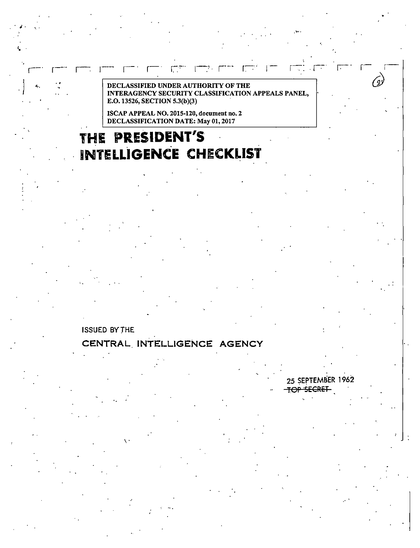#### DECLASSIFIED UNDER AUTHORITY OF THE INTERAGENCY SECURITY CLASSIFICATION APPEALS PANEL, E.O. 13526, SECTION 5.3(b)(3)

r- r-. ,- r-· r-· 1·-:-·· 1--,.r--· r..·· , r-.· . ,-. r.-- · r- r·-

ISCAP APPEAL NO. 2015-120, document no. 2 DECLASSIFICATION DATE: May 01, 2017

## **THE PRESIDENT'S INTELLIGENCE CHECKLIST**

### ISSUED BYTHE

. **i** . \ .

'· .

 $\overline{a}$ 

### **CENTRAL. INTELLIGENCE AGENCY**

 $\ddot{\cdot}$ 

......

25 SEPTEMBER 1962

*@* 

# TOP SECRET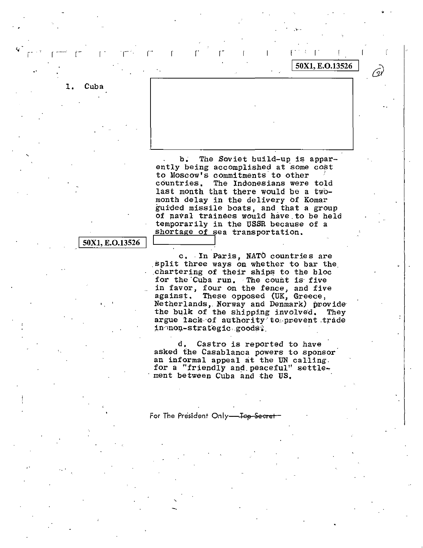Cuba 1.

The Soviet build-up is apparb. ently being accomplished at some cost to Moscow's commitments to other countries. The Indonesians were told last month that there would be a twomonth delay in the delivery of Komar guided missile boats, and that a group of naval trainees would have to be held temporarily in the USSR because of a shortage of sea transportation.

50X1, E.O.13526

 $\mathbf{r}$ 

#### 50X1, E.O.13526

c. In Paris, NATO countries are split three ways on whether to bar the chartering of their ships to the bloc for the Cuba run. The count is five in favor, four on the fence, and five against. These opposed (UK, Greece, Netherlands, Norway and Denmark) provide the bulk of the shipping involved. They argue lack of authority to prevent trade in non-strategic goods:

d. Castro is reported to have asked the Casablanca powers to sponsor an informal appeal at the UN calling. for a "friendly and peaceful" settlement between Cuba and the US.

For The President Only-Top Secret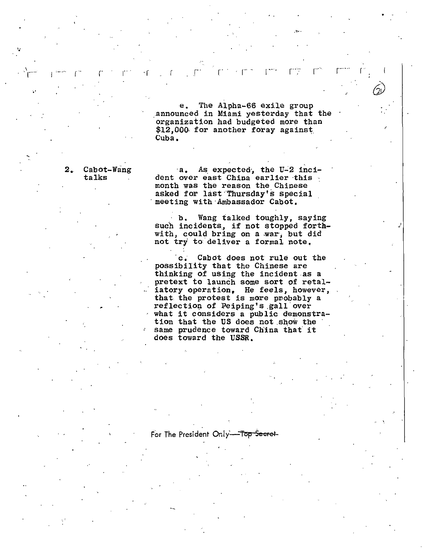e. The Alpha-66 exile group announced in Miami yesterday that the organization had budgeted more than \$12,000 for another foray against Cuba.

refers to . Furthermore, we have the results of  $\tilde{\mathcal{C}}$  ,

.......

2. Cabot-Wang talks

..

 $\Gamma^{\rm max}$  .  $\Gamma^{\rm max}$  . . .  $\Gamma^{\rm max}$ 

•'

a. As expected, the U-2 incident over east China earlier this month was the reason the Chinese asked for last·Thursday's special meeting with Ambassador Cabot.

b. Wang talked toughly, saying such incidents, if not stopped forthwith, could bring on a war, but did not try to deliver a formal note.

,,'

c. Cabot does not rule out the possibility that the Chinese are thinking of using the incident as a pretext to launch some sort pf retaliatory operation, He feels, however, that the protest is more probably a reflection of Peiping's gall over what it considers a public demonstration that the US does not show the same prudence toward China that it does toward the USSR.

#### For The President Only-Top Secret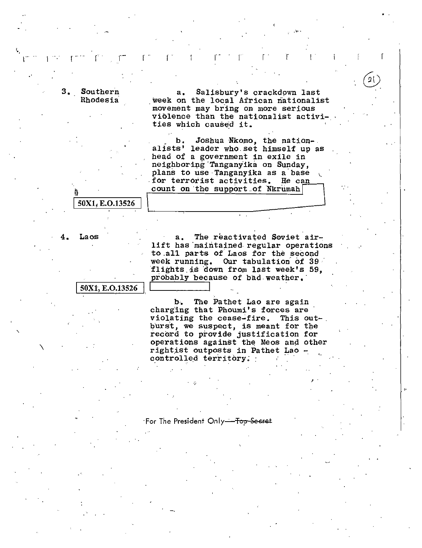3. Southern Rhodesia

Salisbury's crackdown last  $a<sub>1</sub>$ week on the local African nationalist movement may bring on more serious violence than the nationalist activities which caused it.

21

b. Joshua Nkomo, the nation-<br>alists' leader who set himself up as head of a government in exile in neighboring Tanganyika on Sunday, plans to use Tanganyika as a base for terrorist activities. He can count on the support of Nkrumah

50X1, E.O.13526

Laos 4.

The reactivated Soviet air $a<sub>x</sub>$ lift has maintained regular operations to all parts of Laos for the second week running. Our tabulation of 39 flights is down from last week's 59, probably because of bad weather.

50X1, E.O.13526

The Pathet Lao are again Ъ. charging that Phoumi's forces are violating the cease-fire. This outburst, we suspect, is meant for the record to provide justification for operations against the Meos and other rightist outposts in Pathet Lao controlled territory.

For The President Only<del>-Top Secret</del>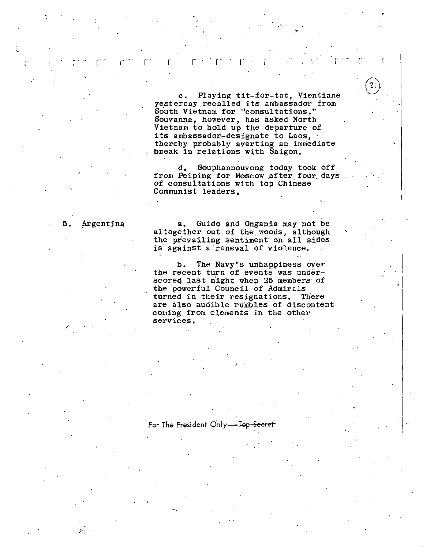c. Playing tit-for-tat, Vientiane yesterday.recalled its ambassador from South Vietnam for "consultations." Souvanna, however, has asked North Vietnam to hold up the departure of its ambassador-designate to Laos, thereby probabiy averting an immediate break in relations with Saigon;

r · r r . I I r r

,:,,..

d. Souphannouvong today took off<br>from Peiping for Moscow after four days ·of consultations with top Chinese Communist leaders,

/

.·.•

 $r^{\rm max} = r^2$ 

'•

.·

5. Argentina a. Guido and Ongania may not be altogether out of the woods, although the prevailing sentiment on all sides is against a renewal of violence.

> b. The Navy's unhappiness over the recent turn of events was underscored last night when 25 members of the 'powerful Council of Admirals turned in their resignations. There are also audible rumbles of discontent coming from elements in the other **services.**

#### For The President Only-Top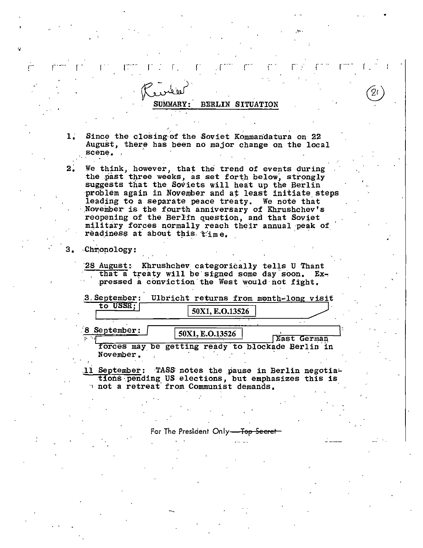#### BERLIN SITUATION

- $1.$ Since the closing of the Soviet Kommandatura on 22 August, there has been no major change on the local scene.
- $2.$ We think, however, that the trend of events during the past three weeks, as set forth below, strongly suggests that the Soviets will heat up the Berlin problem again in November and at least initiate steps leading to a separate peace treaty. We note that November is the fourth anniversary of Khrushchev's reopening of the Berlin question, and that Soviet military forces normally reach their annual peak of readiness at about this time.
- 3. Chronology:

8 September:

28 August: Khrushchev categorically tells U Thant that a treaty will be signed some day soon. Expressed a conviction the West would not fight.

|          | 3. September: Ulbricht returns from month-long visit |  |
|----------|------------------------------------------------------|--|
| to USSR: | 50X1, E.O.13526                                      |  |
|          |                                                      |  |

50X1, E.O.13526 East German forces may be getting ready to blockade Berlin in November.

11 September: TASS notes the pause in Berlin negotiations pending US elections, but emphasizes this is not a retreat from Communist demands.

> For The President Only--<del>Top Secrer -</del>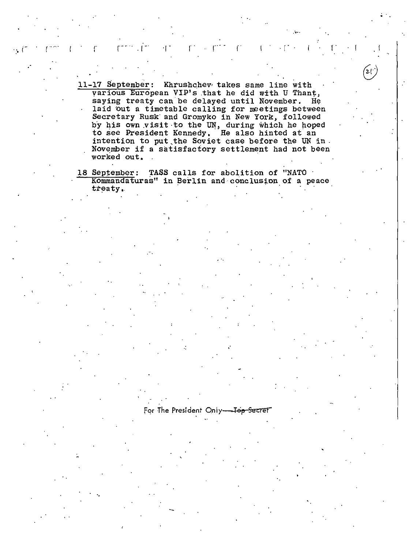11-17 September: Khrushchev takes same line with various European VIP's that he did with U Thant, saying treaty can be delayed until November. He laid out a timetable calling for meetings between Secretary Rusk and Gromyko in New York, followed by his own visit to the UN, during which he hoped to see President Kennedy. He also hinted at an intention to put the Soviet case before the UN in. November if a satisfactory settlement had not been worked out.

 $2.1^{\circ}$ 

18 September: TASS calls for abolition of "NATO Kommandaturas" in Berlin and conclusion of a peace treaty.

For The President Only-Top Secret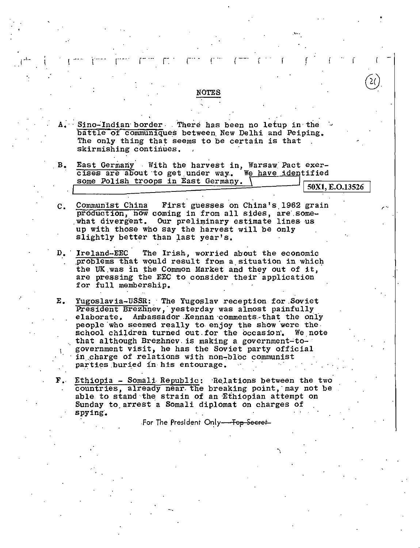Sino-Indian border. There has been no letup in the battle of communiques between New Delhi and Peiping. The only thing that seems to be certain is that. skirmishing continues.

**NOTES** 

- $B_{\bullet}$ East Germany With the harvest in, Warsaw Pact exer-We have identified cises are about to get under way. some Polish troops in East Germany.
	- 50X1, E.O.13526
- Communist China First guesses on China's 1962 grain  $\mathbf{c}$ . production, how coming in from all sides, are somewhat divergent. Our preliminary estimate lines us up with those who say the harvest will be only slightly better than last year's.
- Ireland-EEC The Irish, worried about the economic  $D_{\bullet}$ problems that would result from a situation in which the UK was in the Common Market and they out of it, are pressing the EEC to consider their application for full membership.
- Е. Yugoslavia-USSR: The Yugoslav reception for Soviet President Brezhnev, yesterday was almost painfully elaborate. Ambassador Kennan comments that the only people who seemed really to enjoy the show were the school children turned out for the occasion. We note that although Brezhnev is making a government-togovernment visit, he has the Soviet party official in charge of relations with non-bloc communist parties buried in his entourage.
- F. Ethiopia Somali Republic: Relations between the two countries, already near the breaking point, may not be able to stand the strain of an Ethiopian attempt on Sunday to arrest a Somali diplomat on charges of spying.

For The President Only--Top Secret